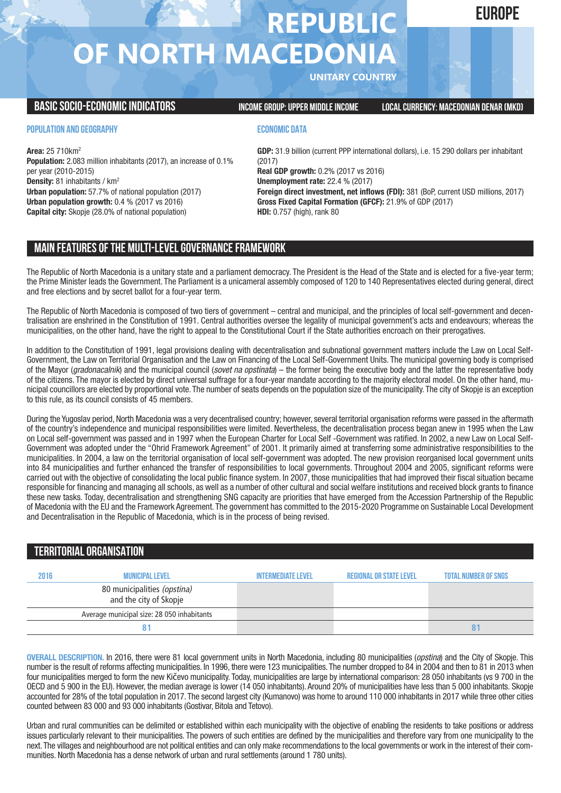# **REPUBLIC OF NORTH MACEDONIA**

**UNITARY COUNTRY**

# **BASICSOCIO-ECONOMICINDICATORS INCOMEGROUP:UPPER MIDDLEINCOME LOCALCURRENCY: MACEDONIAN DENAR (MKD)**

**EUROPE**

# **POPULATION AND GEOGRAPHY**

**Area:** 25 710km2 **Population:** 2.083 million inhabitants (2017), an increase of 0.1% per year (2010-2015) **Density:** 81 inhabitants / km2 **Urban population:** 57.7% of national population (2017) **Urban population growth:** 0.4 % (2017 vs 2016) **Capital city:** Skopje (28.0% of national population)

## **ECONOMIC DATA**

**GDP:** 31.9 billion (current PPP international dollars), i.e. 15 290 dollars per inhabitant (2017) **Real GDP growth:** 0.2% (2017 vs 2016) **Unemployment rate:** 22.4 % (2017) **Foreign direct investment, net inflows (FDI):** 381 (BoP, current USD millions, 2017) **Gross Fixed Capital Formation (GFCF):** 21.9% of GDP (2017) **HDI:** 0.757 (high), rank 80

# **MAIN FEATURESOFTHE MULTI-LEVELGOVERNANCEFRAMEWORK**

The Republic of North Macedonia is a unitary state and a parliament democracy. The President is the Head of the State and is elected for a five-year term; the Prime Minister leads the Government. The Parliament is a unicameral assembly composed of 120 to 140 Representatives elected during general, direct and free elections and by secret ballot for a four-year term.

The Republic of North Macedonia is composed of two tiers of government – central and municipal, and the principles of local self-government and decentralisation are enshrined in the Constitution of 1991. Central authorities oversee the legality of municipal government's acts and endeavours; whereas the municipalities, on the other hand, have the right to appeal to the Constitutional Court if the State authorities encroach on their prerogatives.

In addition to the Constitution of 1991, legal provisions dealing with decentralisation and subnational government matters include the Law on Local Self-Government, the Law on Territorial Organisation and the Law on Financing of the Local Self-Government Units. The municipal governing body is comprised of the Mayor (*gradonacalnik*) and the municipal council (*sovet na opstinata*) – the former being the executive body and the latter the representative body of the citizens. The mayor is elected by direct universal suffrage for a four-year mandate according to the majority electoral model. On the other hand, municipal councillors are elected by proportional vote. The number of seats depends on the population size of the municipality. The city of Skopje is an exception to this rule, as its council consists of 45 members.

During the Yugoslav period, North Macedonia was a very decentralised country; however, several territorial organisation reforms were passed in the aftermath of the country's independence and municipal responsibilities were limited. Nevertheless, the decentralisation process began anew in 1995 when the Law on Local self-government was passed and in 1997 when the European Charter for Local Self -Government was ratified. In 2002, a new Law on Local Self-Government was adopted under the "Ohrid Framework Agreement" of 2001. It primarily aimed at transferring some administrative responsibilities to the municipalities. In 2004, a law on the territorial organisation of local self-government was adopted. The new provision reorganised local government units into 84 municipalities and further enhanced the transfer of responsibilities to local governments. Throughout 2004 and 2005, significant reforms were carried out with the objective of consolidating the local public finance system. In 2007, those municipalities that had improved their fiscal situation became responsible for financing and managing all schools, as well as a number of other cultural and social welfare institutions and received block grants to finance these new tasks. Today, decentralisation and strengthening SNG capacity are priorities that have emerged from the Accession Partnership of the Republic of Macedonia with the EU and the Framework Agreement. The government has committed to the 2015-2020 Programme on Sustainable Local Development and Decentralisation in the Republic of Macedonia, which is in the process of being revised.

# **TERRITORIALORGANISATION**

| 2016 | MUNICIPAL LEVEL                                       | <b>INTERMEDIATE LEVEL</b> | REGIONAL OR STATE LEVEL | <b>TOTAL NUMBER OF SNGS</b> |
|------|-------------------------------------------------------|---------------------------|-------------------------|-----------------------------|
|      | 80 municipalities (opstina)<br>and the city of Skopje |                           |                         |                             |
|      | Average municipal size: 28 050 inhabitants            |                           |                         |                             |
|      |                                                       |                           |                         | 8.                          |

**OVERALL DESCRIPTION.** In 2016, there were 81 local government units in North Macedonia, including 80 municipalities (*opstina*) and the City of Skopje. This number is the result of reforms affecting municipalities. In 1996, there were 123 municipalities. The number dropped to 84 in 2004 and then to 81 in 2013 when four municipalities merged to form the new Kičevo municipality. Today, municipalities are large by international comparison: 28 050 inhabitants (vs 9 700 in the OECD and 5 900 in the EU). However, the median average is lower (14 050 inhabitants). Around 20% of municipalities have less than 5 000 inhabitants. Skopje accounted for 28% of the total population in 2017. The second largest city (Kumanovo) was home to around 110 000 inhabitants in 2017 while three other cities counted between 83 000 and 93 000 inhabitants (Gostivar, Bitola and Tetovo).

Urban and rural communities can be delimited or established within each municipality with the objective of enabling the residents to take positions or address issues particularly relevant to their municipalities. The powers of such entities are defined by the municipalities and therefore vary from one municipality to the next. The villages and neighbourhood are not political entities and can only make recommendations to the local governments or work in the interest of their communities. North Macedonia has a dense network of urban and rural settlements (around 1 780 units).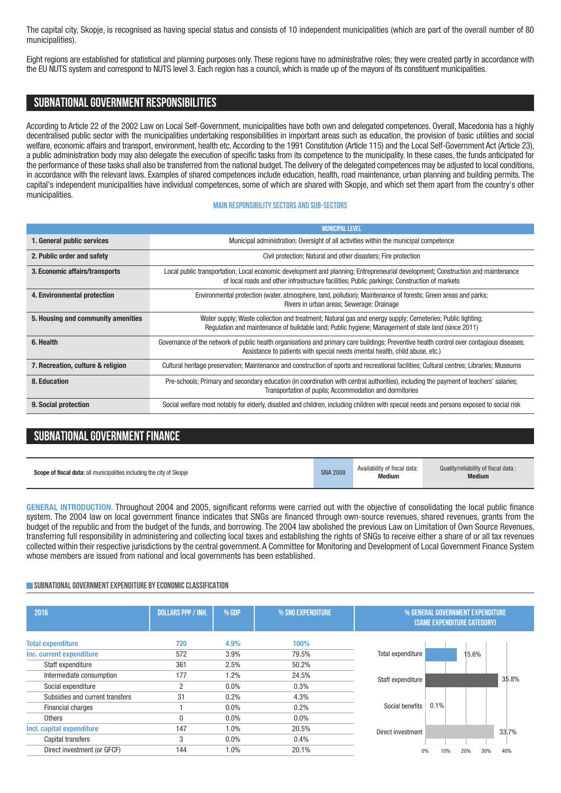The capital city, Skopje, is recognised as having special status and consists of 10 independent municipalities (which are part of the overall number of 80 municipalities).

Eight regions are established for statistical and planning purposes only. These regions have no administrative roles; they were created partly in accordance with the EU NUTS system and correspond to NUTS level 3. Each region has a council, which is made up of the mayors of its constituent municipalities.

# **SUBNATIONALGOVERNMENT RESPONSIBILITIES**

According to Article 22 of the 2002 Law on Local Self-Government, municipalities have both own and delegated competences. Overall, Macedonia has a highly decentralised public sector with the municipalities undertaking responsibilities in important areas such as education, the provision of basic utilities and social welfare, economic affairs and transport, environment, health etc. According to the 1991 Constitution (Article 115) and the Local Self-Government Act (Article 23), a public administration body may also delegate the execution of specific tasks from its competence to the municipality. In these cases, the funds anticipated for the performance of these tasks shall also be transferred from the national budget.The delivery of the delegated competences may be adjusted to local conditions, in accordance with the relevant laws. Examples of shared competences include education, health, road maintenance, urban planning and building permits. The capital's independent municipalities have individual competences, some of which are shared with Skopje, and which set them apart from the country's other municipalities.

### **Main responsibilitysectors and sub-sectors**

|                                    | <b>MUNICIPAL LEVEL</b>                                                                                                                                                                                                          |
|------------------------------------|---------------------------------------------------------------------------------------------------------------------------------------------------------------------------------------------------------------------------------|
|                                    |                                                                                                                                                                                                                                 |
| 1. General public services         | Municipal administration; Oversight of all activities within the municipal competence                                                                                                                                           |
| 2. Public order and safety         | Civil protection; Natural and other disasters; Fire protection                                                                                                                                                                  |
| 3. Economic affairs/transports     | Local public transportation; Local economic development and planning; Entrepreneurial development; Construction and maintenance<br>of local roads and other infrastructure facilities; Public parkings; Construction of markets |
| 4. Environmental protection        | Environmental protection (water, atmosphere, land, pollution); Maintenance of forests; Green areas and parks;<br>Rivers in urban areas; Sewerage; Drainage                                                                      |
| 5. Housing and community amenities | Water supply; Waste collection and treatment; Natural gas and energy supply; Cemeteries; Public lighting;<br>Requiation and maintenance of buildable land; Public hygiene; Management of state land (since 2011)                |
| 6. Health                          | Governance of the network of public health organisations and primary care buildings; Preventive health control over contagious diseases;<br>Assistance to patients with special needs (mental health, child abuse, etc.)        |
| 7. Recreation, culture & religion  | Cultural heritage preservation; Maintenance and construction of sports and recreational facilities; Cultural centres; Libraries; Museums                                                                                        |
| 8. Education                       | Pre-schools; Primary and secondary education (in coordination with central authorities), including the payment of teachers' salaries;<br>Transportation of pupils; Accommodation and dormitories                                |
| 9. Social protection               | Social welfare most notably for elderly, disabled and children, including children with special needs and persons exposed to social risk                                                                                        |

# **SUBNATIONAL GOVERNMENT FINANCE**

| <b>Scope of fiscal data:</b> all municipalities including the city of Skopje | <b>SNA 2008</b> | Availability of fiscal data:<br><b>Medium</b> | Quality/reliability of fiscal data:<br>Medium |
|------------------------------------------------------------------------------|-----------------|-----------------------------------------------|-----------------------------------------------|
|------------------------------------------------------------------------------|-----------------|-----------------------------------------------|-----------------------------------------------|

**GENERAL INTRODUCTION.** Throughout 2004 and 2005, significant reforms were carried out with the objective of consolidating the local public finance system. The 2004 law on local government finance indicates that SNGs are financed through own-source revenues, shared revenues, grants from the budget of the republic and from the budget of the funds, and borrowing. The 2004 law abolished the previous Law on Limitation of Own Source Revenues, transferring full responsibility in administering and collecting local taxes and establishing the rights of SNGs to receive either a share of or all tax revenues collected within their respective jurisdictions by the central government. A Committee for Monitoring and Development of Local Government Finance System whose members are issued from national and local governments has been established.

#### **SUBNATIONAL GOVERNMENT EXPENDITURE BY ECONOMIC CLASSIFICATION**

| 2016                            | <b>DOLLARS PPP / INH.</b> | % GDP | % SNG EXPENDITURE | % GENERAL GOVERNMENT EXPENDITURE<br><b>(SAME EXPENDITURE CATEGORY)</b> |       |
|---------------------------------|---------------------------|-------|-------------------|------------------------------------------------------------------------|-------|
| <b>Total expenditure</b>        | 720                       | 4.9%  | 100%              |                                                                        |       |
| Inc. current expenditure        | 572                       | 3.9%  | 79.5%             | Total expenditure<br>15.6%                                             |       |
| Staff expenditure               | 361                       | 2.5%  | 50.2%             |                                                                        |       |
| Intermediate consumption        | 177                       | 1.2%  | 24.5%             | Staff expenditure                                                      | 35.8% |
| Social expenditure              | 2                         | 0.0%  | 0.3%              |                                                                        |       |
| Subsidies and current transfers | 31                        | 0.2%  | 4.3%              |                                                                        |       |
| <b>Financial charges</b>        |                           | 0.0%  | 0.2%              | Social benefits<br>0.1%                                                |       |
| Others                          |                           | 0.0%  | $0.0\%$           |                                                                        |       |
| Incl. capital expenditure       | 147                       | 1.0%  | 20.5%             | Direct investment                                                      | 33.7% |
| Capital transfers               | 3                         | 0.0%  | 0.4%              |                                                                        |       |
| Direct investment (or GFCF)     | 144                       | 1.0%  | 20.1%             | 30%<br>10%<br>20%                                                      | 40%   |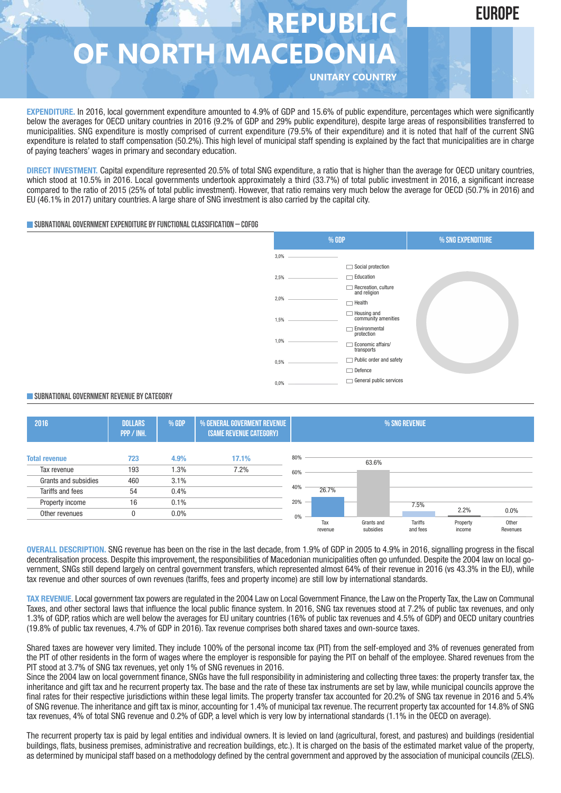

**EXPENDITURE.** In 2016, local government expenditure amounted to 4.9% of GDP and 15.6% of public expenditure, percentages which were significantly below the averages for OECD unitary countries in 2016 (9.2% of GDP and 29% public expenditure), despite large areas of responsibilities transferred to municipalities. SNG expenditure is mostly comprised of current expenditure (79.5% of their expenditure) and it is noted that half of the current SNG expenditure is related to staff compensation (50.2%). This high level of municipal staff spending is explained by the fact that municipalities are in charge of paying teachers' wages in primary and secondary education.

**DIRECT INVESTMENT.** Capital expenditure represented 20.5% of total SNG expenditure, a ratio that is higher than the average for OECD unitary countries, which stood at 10.5% in 2016. Local governments undertook approximately a third (33.7%) of total public investment in 2016, a significant increase compared to the ratio of 2015 (25% of total public investment). However, that ratio remains very much below the average for OECD (50.7% in 2016) and EU (46.1% in 2017) unitary countries. A large share of SNG investment is also carried by the capital city.

#### **SUBNATIONALGOVERNMENTEXPENDITURE BYFUNCTIONALCLASSIFICATION – COFOG**



#### **SUBNATIONALGOVERNMENT REVENUE BYCATEGORY**



**OVERALL DESCRIPTION.** SNG revenue has been on the rise in the last decade, from 1.9% of GDP in 2005 to 4.9% in 2016, signalling progress in the fiscal decentralisation process. Despite this improvement, the responsibilities of Macedonian municipalities often go unfunded. Despite the 2004 law on local government, SNGs still depend largely on central government transfers, which represented almost 64% of their revenue in 2016 (vs 43.3% in the EU), while tax revenue and other sources of own revenues (tariffs, fees and property income) are still low by international standards.

**TAX REVENUE.** Local government tax powers are regulated in the 2004 Law on Local Government Finance, the Law on the Property Tax, the Law on Communal Taxes, and other sectoral laws that influence the local public finance system. In 2016, SNG tax revenues stood at 7.2% of public tax revenues, and only 1.3% of GDP, ratios which are well below the averages for EU unitary countries (16% of public tax revenues and 4.5% of GDP) and OECD unitary countries (19.8% of public tax revenues, 4.7% of GDP in 2016). Tax revenue comprises both shared taxes and own-source taxes.

Shared taxes are however very limited. They include 100% of the personal income tax (PIT) from the self-employed and 3% of revenues generated from the PIT of other residents in the form of wages where the employer is responsible for paying the PIT on behalf of the employee. Shared revenues from the PIT stood at 3.7% of SNG tax revenues, yet only 1% of SNG revenues in 2016.

Since the 2004 law on local government finance, SNGs have the full responsibility in administering and collecting three taxes: the property transfer tax, the inheritance and gift tax and he recurrent property tax. The base and the rate of these tax instruments are set by law, while municipal councils approve the final rates for their respective jurisdictions within these legal limits. The property transfer tax accounted for 20.2% of SNG tax revenue in 2016 and 5.4% of SNG revenue. The inheritance and gift tax is minor, accounting for 1.4% of municipal tax revenue. The recurrent property tax accounted for 14.8% of SNG tax revenues, 4% of total SNG revenue and 0.2% of GDP, a level which is very low by international standards (1.1% in the OECD on average).

The recurrent property tax is paid by legal entities and individual owners. It is levied on land (agricultural, forest, and pastures) and buildings (residential buildings, flats, business premises, administrative and recreation buildings, etc.). It is charged on the basis of the estimated market value of the property, as determined by municipal staff based on a methodology defined by the central government and approved by the association of municipal councils (ZELS).